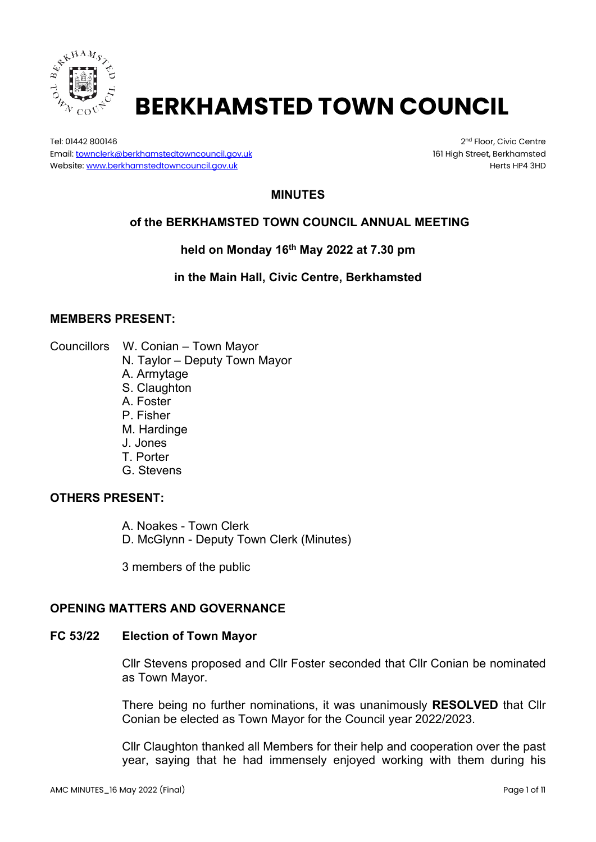

# **BERKHAMSTED TOWN COUNCIL**

Tel: 01442 800146 2nd Floor, Civic Centre 2nd Floor, Civic Centre 2nd Floor, Civic Centre Email[: townclerk@berkhamstedtowncouncil.gov.uk](mailto:townclerk@berkhamstedtowncouncil.gov.uk) 161 High Street, Berkhamsted Website[: www.berkhamstedtowncouncil.gov.uk](http://www.berkhamstedtowncouncil.gov.uk/) https://www.berkhamstedtowncouncil.gov.uk

# **MINUTES**

# **of the BERKHAMSTED TOWN COUNCIL ANNUAL MEETING**

**held on Monday 16th May 2022 at 7.30 pm**

**in the Main Hall, Civic Centre, Berkhamsted**

#### **MEMBERS PRESENT:**

- Councillors W. Conian Town Mayor
	- N. Taylor Deputy Town Mayor
	- A. Armytage
	- S. Claughton
	- A. Foster
	- P. Fisher
	- M. Hardinge
	- J. Jones
	- T. Porter
	- G. Stevens

#### **OTHERS PRESENT:**

A. Noakes - Town Clerk D. McGlynn - Deputy Town Clerk (Minutes)

3 members of the public

# **OPENING MATTERS AND GOVERNANCE**

#### **FC 53/22 Election of Town Mayor**

Cllr Stevens proposed and Cllr Foster seconded that Cllr Conian be nominated as Town Mayor.

There being no further nominations, it was unanimously **RESOLVED** that Cllr Conian be elected as Town Mayor for the Council year 2022/2023.

Cllr Claughton thanked all Members for their help and cooperation over the past year, saying that he had immensely enjoyed working with them during his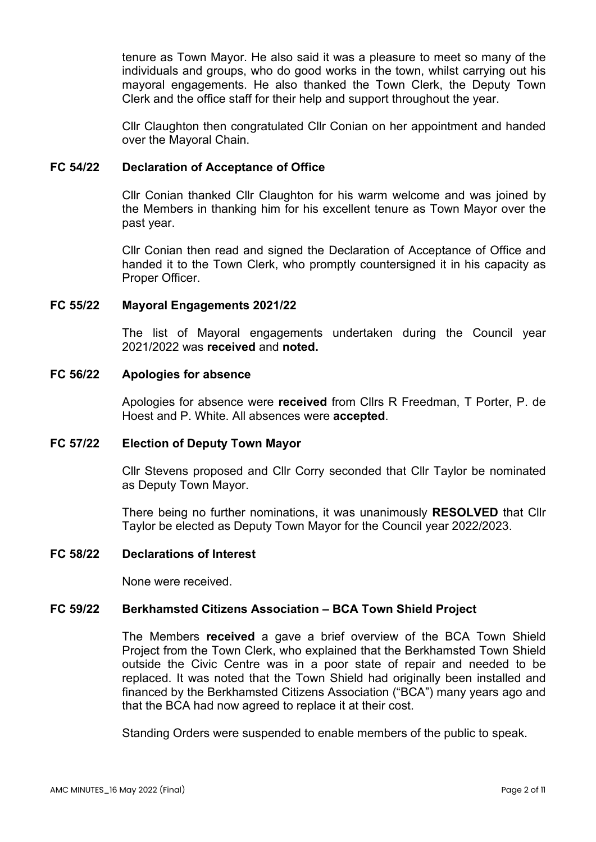tenure as Town Mayor. He also said it was a pleasure to meet so many of the individuals and groups, who do good works in the town, whilst carrying out his mayoral engagements. He also thanked the Town Clerk, the Deputy Town Clerk and the office staff for their help and support throughout the year.

Cllr Claughton then congratulated Cllr Conian on her appointment and handed over the Mayoral Chain.

# **FC 54/22 Declaration of Acceptance of Office**

Cllr Conian thanked Cllr Claughton for his warm welcome and was joined by the Members in thanking him for his excellent tenure as Town Mayor over the past year.

Cllr Conian then read and signed the Declaration of Acceptance of Office and handed it to the Town Clerk, who promptly countersigned it in his capacity as Proper Officer.

# **FC 55/22 Mayoral Engagements 2021/22**

The list of Mayoral engagements undertaken during the Council year 2021/2022 was **received** and **noted.**

#### **FC 56/22 Apologies for absence**

Apologies for absence were **received** from Cllrs R Freedman, T Porter, P. de Hoest and P. White. All absences were **accepted**.

# **FC 57/22 Election of Deputy Town Mayor**

Cllr Stevens proposed and Cllr Corry seconded that Cllr Taylor be nominated as Deputy Town Mayor.

There being no further nominations, it was unanimously **RESOLVED** that Cllr Taylor be elected as Deputy Town Mayor for the Council year 2022/2023.

#### **FC 58/22 Declarations of Interest**

None were received.

# **FC 59/22 Berkhamsted Citizens Association – BCA Town Shield Project**

The Members **received** a gave a brief overview of the BCA Town Shield Project from the Town Clerk, who explained that the Berkhamsted Town Shield outside the Civic Centre was in a poor state of repair and needed to be replaced. It was noted that the Town Shield had originally been installed and financed by the Berkhamsted Citizens Association ("BCA") many years ago and that the BCA had now agreed to replace it at their cost.

Standing Orders were suspended to enable members of the public to speak.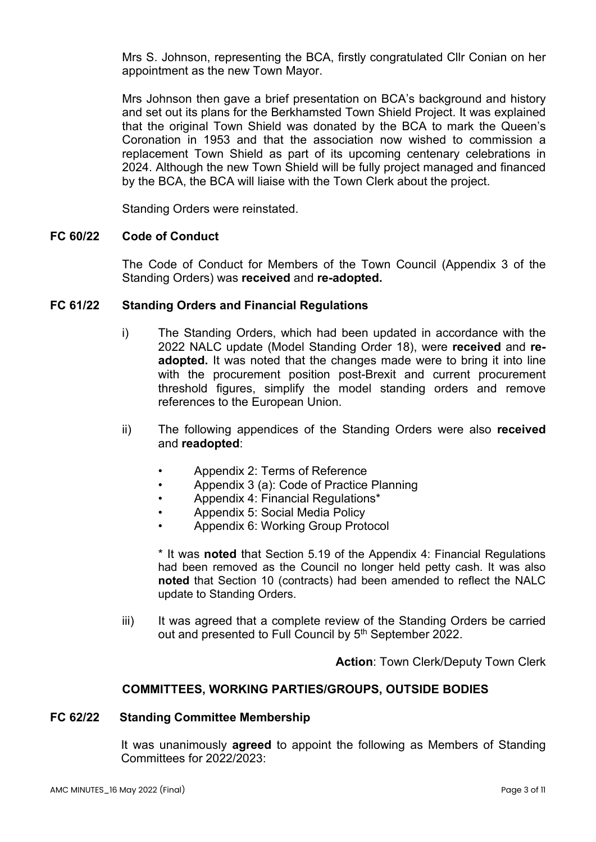Mrs S. Johnson, representing the BCA, firstly congratulated Cllr Conian on her appointment as the new Town Mayor.

Mrs Johnson then gave a brief presentation on BCA's background and history and set out its plans for the Berkhamsted Town Shield Project. It was explained that the original Town Shield was donated by the BCA to mark the Queen's Coronation in 1953 and that the association now wished to commission a replacement Town Shield as part of its upcoming centenary celebrations in 2024. Although the new Town Shield will be fully project managed and financed by the BCA, the BCA will liaise with the Town Clerk about the project.

Standing Orders were reinstated.

#### **FC 60/22 Code of Conduct**

The Code of Conduct for Members of the Town Council (Appendix 3 of the Standing Orders) was **received** and **re-adopted.**

#### **FC 61/22 Standing Orders and Financial Regulations**

- i) The Standing Orders, which had been updated in accordance with the 2022 NALC update (Model Standing Order 18), were **received** and **readopted.** It was noted that the changes made were to bring it into line with the procurement position post-Brexit and current procurement threshold figures, simplify the model standing orders and remove references to the European Union.
- ii) The following appendices of the Standing Orders were also **received** and **readopted**:
	- Appendix 2: Terms of Reference
	- Appendix 3 (a): Code of Practice Planning
	- Appendix 4: Financial Regulations\*
	- Appendix 5: Social Media Policy
	- Appendix 6: Working Group Protocol

\* It was **noted** that Section 5.19 of the Appendix 4: Financial Regulations had been removed as the Council no longer held petty cash. It was also **noted** that Section 10 (contracts) had been amended to reflect the NALC update to Standing Orders.

iii) It was agreed that a complete review of the Standing Orders be carried out and presented to Full Council by 5<sup>th</sup> September 2022.

**Action**: Town Clerk/Deputy Town Clerk

#### **COMMITTEES, WORKING PARTIES/GROUPS, OUTSIDE BODIES**

#### **FC 62/22 Standing Committee Membership**

It was unanimously **agreed** to appoint the following as Members of Standing Committees for 2022/2023: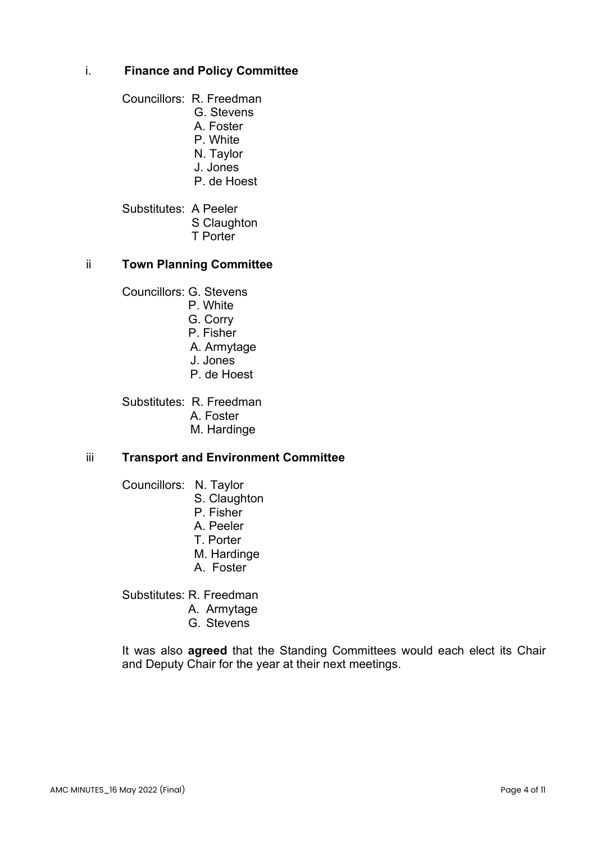# i. **Finance and Policy Committee**

Councillors: R. Freedman

- G. Stevens
- A. Foster
- P. White
- N. Taylor
- J. Jones
- P. de Hoest

Substitutes: A Peeler S Claughton T Porter

# ii **Town Planning Committee**

Councillors: G. Stevens

- P. White
- G. Corry
- P. Fisher
- A. Armytage
- J. Jones
- P. de Hoest

Substitutes: R. Freedman

- A. Foster
- M. Hardinge

# iii **Transport and Environment Committee**

Councillors: N. Taylor

- S. Claughton
- P. Fisher
- A. Peeler
- T. Porter
- M. Hardinge
- A. Foster

Substitutes: R. Freedman

- A. Armytage
- G. Stevens

It was also **agreed** that the Standing Committees would each elect its Chair and Deputy Chair for the year at their next meetings.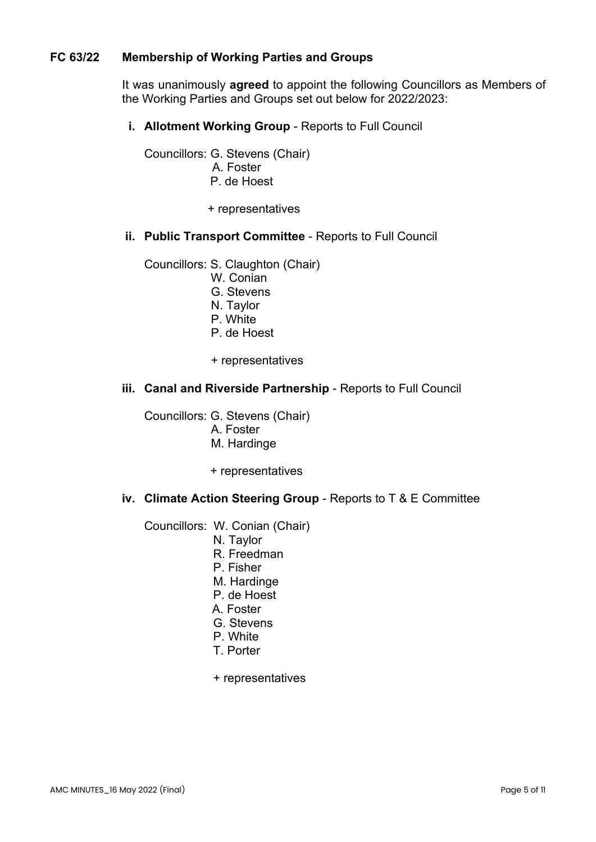# **FC 63/22 Membership of Working Parties and Groups**

It was unanimously **agreed** to appoint the following Councillors as Members of the Working Parties and Groups set out below for 2022/2023:

**i. Allotment Working Group** - Reports to Full Council

Councillors: G. Stevens (Chair) A. Foster P. de Hoest

+ representatives

#### **ii. Public Transport Committee** - Reports to Full Council

Councillors: S. Claughton (Chair)

- W. Conian
- G. Stevens
- N. Taylor
- P. White
- P. de Hoest
- + representatives

#### **iii. Canal and Riverside Partnership** - Reports to Full Council

Councillors: G. Stevens (Chair)

- A. Foster
- M. Hardinge
- + representatives

#### **iv. Climate Action Steering Group** - Reports to T & E Committee

Councillors: W. Conian (Chair)

- N. Taylor
- R. Freedman
- P. Fisher
- M. Hardinge
- P. de Hoest
- A. Foster
- G. Stevens
- P. White
- T. Porter
- + representatives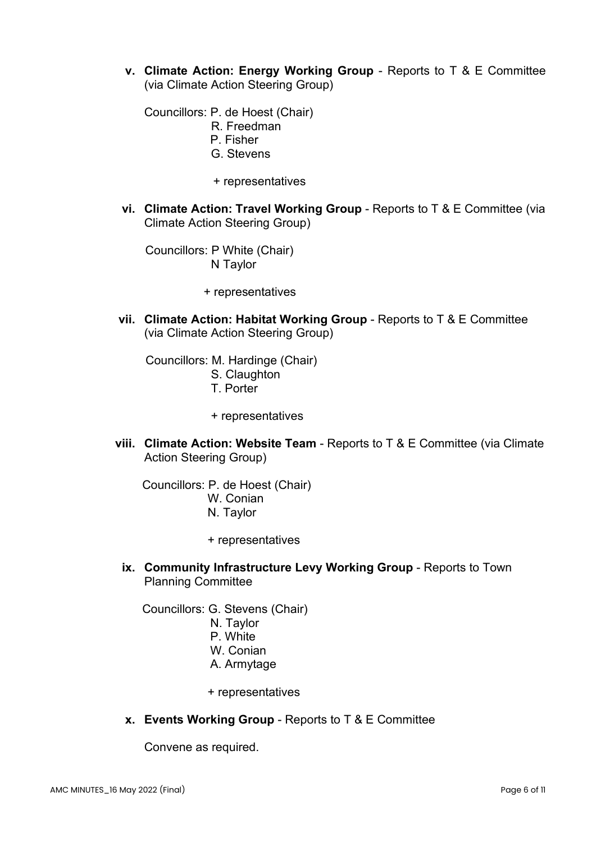**v. Climate Action: Energy Working Group** - Reports to T & E Committee (via Climate Action Steering Group)

Councillors: P. de Hoest (Chair)

- R. Freedman
- P. Fisher
- G. Stevens
- + representatives
- **vi. Climate Action: Travel Working Group** Reports to T & E Committee (via Climate Action Steering Group)

 Councillors: P White (Chair) N Taylor

+ representatives

**vii. Climate Action: Habitat Working Group** - Reports to T & E Committee (via Climate Action Steering Group)

 Councillors: M. Hardinge (Chair) S. Claughton T. Porter

- + representatives
- **viii. Climate Action: Website Team** Reports to T & E Committee (via Climate Action Steering Group)

 Councillors: P. de Hoest (Chair) W. Conian N. Taylor

- + representatives
- **ix. Community Infrastructure Levy Working Group** Reports to Town Planning Committee

Councillors: G. Stevens (Chair)

- N. Taylor
- P. White
- W. Conian
- A. Armytage
- + representatives
- **x. Events Working Group** Reports to T & E Committee

Convene as required.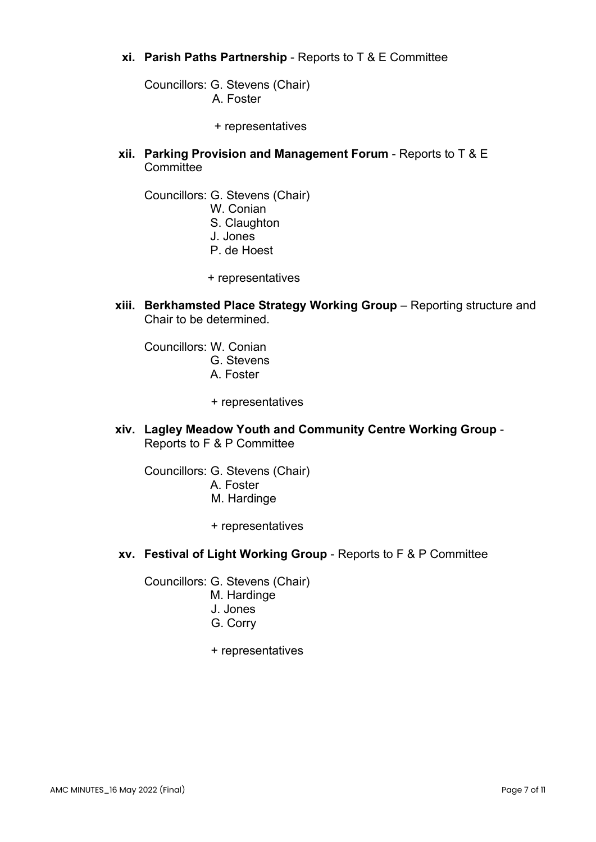# **xi. Parish Paths Partnership** - Reports to T & E Committee

Councillors: G. Stevens (Chair) A. Foster

- + representatives
- **xii. Parking Provision and Management Forum** Reports to T & E **Committee**

Councillors: G. Stevens (Chair)

- W. Conian
- S. Claughton
- J. Jones
- P. de Hoest
- + representatives
- **xiii. Berkhamsted Place Strategy Working Group** Reporting structure and Chair to be determined.

Councillors: W. Conian G. Stevens A. Foster

- + representatives
- **xiv. Lagley Meadow Youth and Community Centre Working Group** Reports to F & P Committee

Councillors: G. Stevens (Chair) A. Foster M. Hardinge

- + representatives
- **xv. Festival of Light Working Group**  Reports to F & P Committee

Councillors: G. Stevens (Chair)

- M. Hardinge
- J. Jones
- G. Corry
- + representatives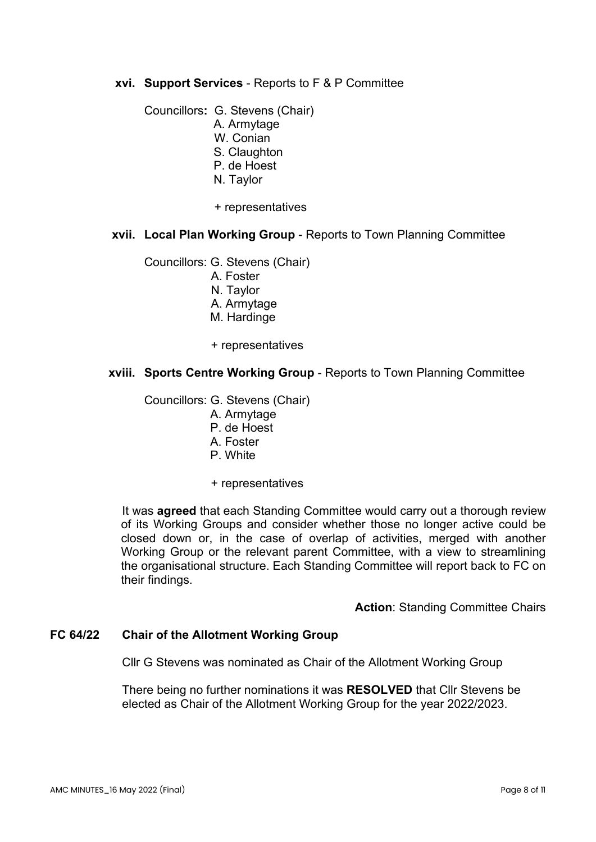# **xvi. Support Services** - Reports to F & P Committee

Councillors**:** G. Stevens (Chair) A. Armytage W. Conian S. Claughton P. de Hoest N. Taylor

+ representatives

#### **xvii. Local Plan Working Group** - Reports to Town Planning Committee

Councillors: G. Stevens (Chair)

- A. Foster
- N. Taylor
- A. Armytage
- M. Hardinge
- + representatives

#### **xviii. Sports Centre Working Group** - Reports to Town Planning Committee

Councillors: G. Stevens (Chair)

- A. Armytage
- P. de Hoest
- A. Foster
- P. White
- + representatives

It was **agreed** that each Standing Committee would carry out a thorough review of its Working Groups and consider whether those no longer active could be closed down or, in the case of overlap of activities, merged with another Working Group or the relevant parent Committee, with a view to streamlining the organisational structure. Each Standing Committee will report back to FC on their findings.

**Action: Standing Committee Chairs** 

#### **FC 64/22 Chair of the Allotment Working Group**

Cllr G Stevens was nominated as Chair of the Allotment Working Group

There being no further nominations it was **RESOLVED** that Cllr Stevens be elected as Chair of the Allotment Working Group for the year 2022/2023.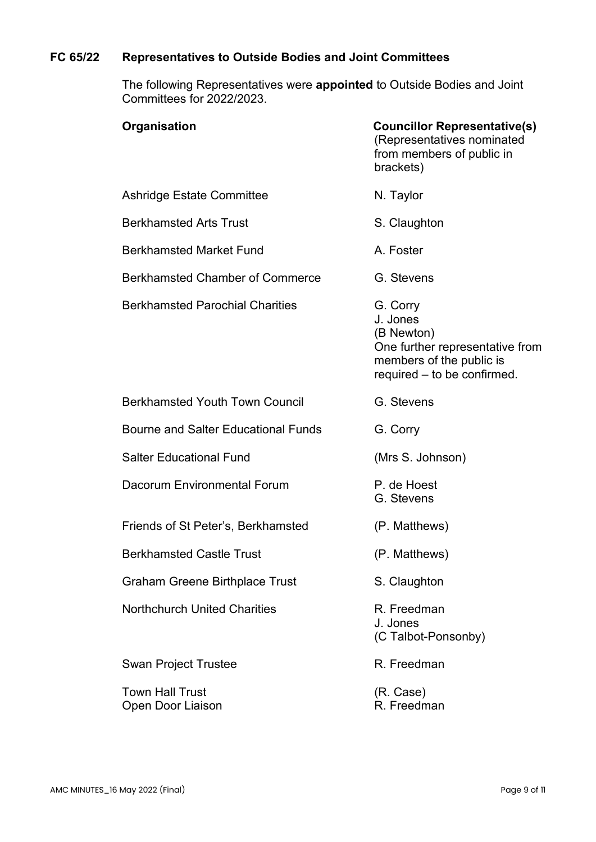# **FC 65/22 Representatives to Outside Bodies and Joint Committees**

The following Representatives were **appointed** to Outside Bodies and Joint Committees for 2022/2023.

| Organisation                                | <b>Councillor Representative(s)</b><br>(Representatives nominated<br>from members of public in<br>brackets)                      |
|---------------------------------------------|----------------------------------------------------------------------------------------------------------------------------------|
| Ashridge Estate Committee                   | N. Taylor                                                                                                                        |
| <b>Berkhamsted Arts Trust</b>               | S. Claughton                                                                                                                     |
| <b>Berkhamsted Market Fund</b>              | A. Foster                                                                                                                        |
| <b>Berkhamsted Chamber of Commerce</b>      | G. Stevens                                                                                                                       |
| <b>Berkhamsted Parochial Charities</b>      | G. Corry<br>J. Jones<br>(B Newton)<br>One further representative from<br>members of the public is<br>required – to be confirmed. |
| <b>Berkhamsted Youth Town Council</b>       | G. Stevens                                                                                                                       |
| <b>Bourne and Salter Educational Funds</b>  | G. Corry                                                                                                                         |
| <b>Salter Educational Fund</b>              | (Mrs S. Johnson)                                                                                                                 |
| Dacorum Environmental Forum                 | P. de Hoest<br>G. Stevens                                                                                                        |
| Friends of St Peter's, Berkhamsted          | (P. Matthews)                                                                                                                    |
| <b>Berkhamsted Castle Trust</b>             | (P. Matthews)                                                                                                                    |
| <b>Graham Greene Birthplace Trust</b>       | S. Claughton                                                                                                                     |
| <b>Northchurch United Charities</b>         | R. Freedman<br>J. Jones<br>(C Talbot-Ponsonby)                                                                                   |
| <b>Swan Project Trustee</b>                 | R. Freedman                                                                                                                      |
| <b>Town Hall Trust</b><br>Open Door Liaison | (R. Case)<br>R. Freedman                                                                                                         |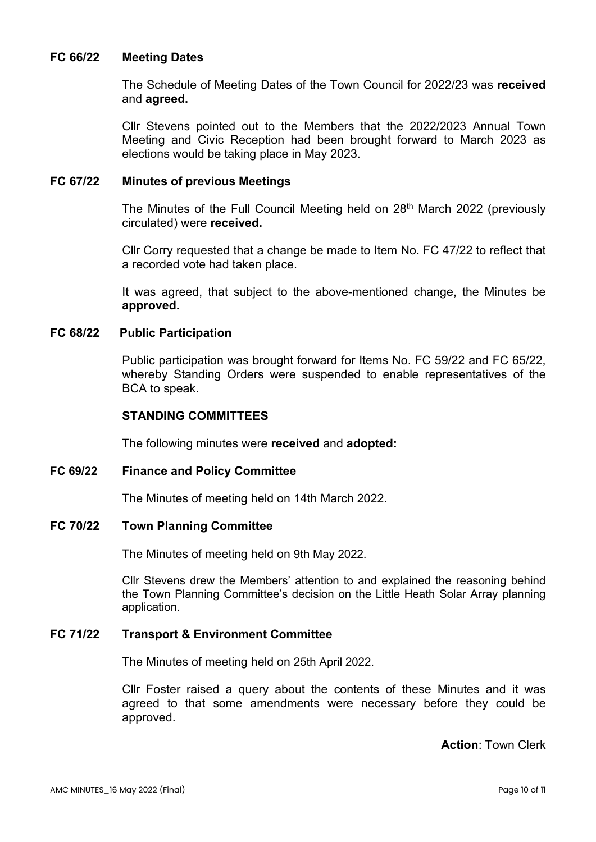#### **FC 66/22 Meeting Dates**

The Schedule of Meeting Dates of the Town Council for 2022/23 was **received**  and **agreed.**

Cllr Stevens pointed out to the Members that the 2022/2023 Annual Town Meeting and Civic Reception had been brought forward to March 2023 as elections would be taking place in May 2023.

#### **FC 67/22 Minutes of previous Meetings**

The Minutes of the Full Council Meeting held on 28<sup>th</sup> March 2022 (previously circulated) were **received.**

Cllr Corry requested that a change be made to Item No. FC 47/22 to reflect that a recorded vote had taken place.

It was agreed, that subject to the above-mentioned change, the Minutes be **approved.** 

# **FC 68/22 Public Participation**

Public participation was brought forward for Items No. FC 59/22 and FC 65/22, whereby Standing Orders were suspended to enable representatives of the BCA to speak.

# **STANDING COMMITTEES**

The following minutes were **received** and **adopted:** 

**FC 69/22 Finance and Policy Committee**

The Minutes of meeting held on 14th March 2022.

#### **FC 70/22 Town Planning Committee**

The Minutes of meeting held on 9th May 2022.

Cllr Stevens drew the Members' attention to and explained the reasoning behind the Town Planning Committee's decision on the Little Heath Solar Array planning application.

#### **FC 71/22 Transport & Environment Committee**

The Minutes of meeting held on 25th April 2022.

Cllr Foster raised a query about the contents of these Minutes and it was agreed to that some amendments were necessary before they could be approved.

**Action**: Town Clerk